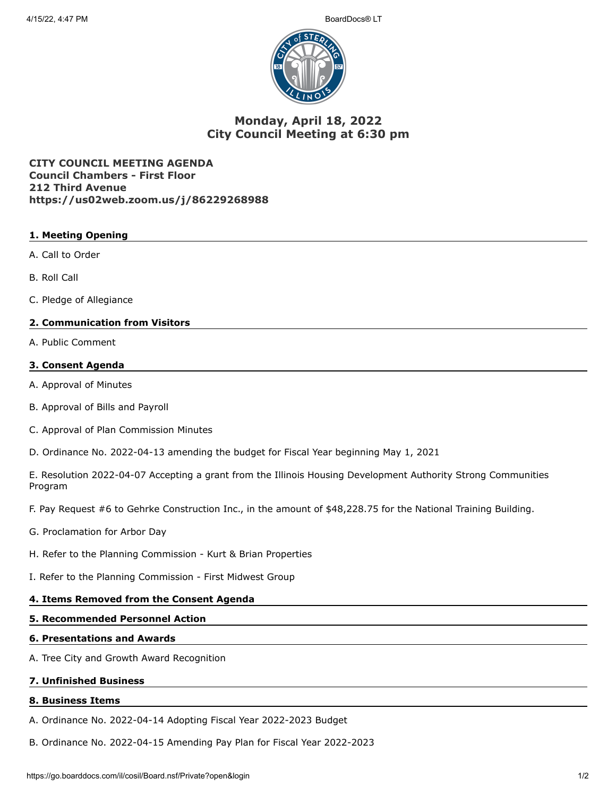

# **Monday, April 18, 2022 City Council Meeting at 6:30 pm**

**CITY COUNCIL MEETING AGENDA Council Chambers - First Floor 212 Third Avenue https://us02web.zoom.us/j/86229268988**

# **1. Meeting Opening**

- A. Call to Order
- B. Roll Call
- C. Pledge of Allegiance

## **2. Communication from Visitors**

A. Public Comment

## **3. Consent Agenda**

- A. Approval of Minutes
- B. Approval of Bills and Payroll
- C. Approval of Plan Commission Minutes
- D. Ordinance No. 2022-04-13 amending the budget for Fiscal Year beginning May 1, 2021

E. Resolution 2022-04-07 Accepting a grant from the Illinois Housing Development Authority Strong Communities Program

- F. Pay Request #6 to Gehrke Construction Inc., in the amount of \$48,228.75 for the National Training Building.
- G. Proclamation for Arbor Day
- H. Refer to the Planning Commission Kurt & Brian Properties
- I. Refer to the Planning Commission First Midwest Group

## **4. Items Removed from the Consent Agenda**

## **5. Recommended Personnel Action**

#### **6. Presentations and Awards**

A. Tree City and Growth Award Recognition

## **7. Unfinished Business**

## **8. Business Items**

A. Ordinance No. 2022-04-14 Adopting Fiscal Year 2022-2023 Budget

B. Ordinance No. 2022-04-15 Amending Pay Plan for Fiscal Year 2022-2023